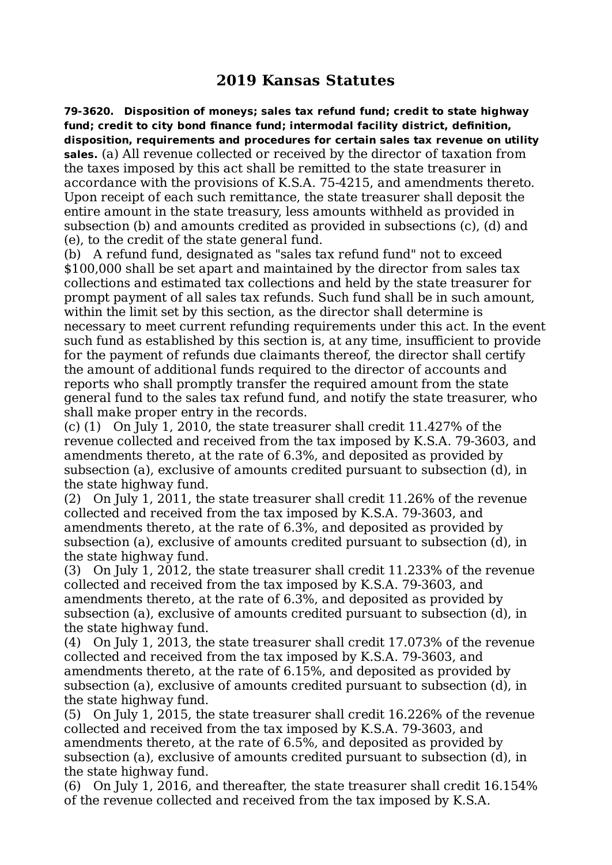## **2019 Kansas Statutes**

**79-3620. Disposition of moneys; sales tax refund fund; credit to state highway fund; credit to city bond finance fund; intermodal facility district, definition, disposition, requirements and procedures for certain sales tax revenue on utility sales.** (a) All revenue collected or received by the director of taxation from the taxes imposed by this act shall be remitted to the state treasurer in accordance with the provisions of K.S.A. 75-4215, and amendments thereto. Upon receipt of each such remittance, the state treasurer shall deposit the entire amount in the state treasury, less amounts withheld as provided in subsection (b) and amounts credited as provided in subsections (c), (d) and (e), to the credit of the state general fund.

(b) A refund fund, designated as "sales tax refund fund" not to exceed \$100,000 shall be set apart and maintained by the director from sales tax collections and estimated tax collections and held by the state treasurer for prompt payment of all sales tax refunds. Such fund shall be in such amount, within the limit set by this section, as the director shall determine is necessary to meet current refunding requirements under this act. In the event such fund as established by this section is, at any time, insufficient to provide for the payment of refunds due claimants thereof, the director shall certify the amount of additional funds required to the director of accounts and reports who shall promptly transfer the required amount from the state general fund to the sales tax refund fund, and notify the state treasurer, who shall make proper entry in the records.

(c) (1) On July 1, 2010, the state treasurer shall credit 11.427% of the revenue collected and received from the tax imposed by K.S.A. 79-3603, and amendments thereto, at the rate of 6.3%, and deposited as provided by subsection (a), exclusive of amounts credited pursuant to subsection (d), in the state highway fund.

(2) On July 1, 2011, the state treasurer shall credit 11.26% of the revenue collected and received from the tax imposed by K.S.A. 79-3603, and amendments thereto, at the rate of 6.3%, and deposited as provided by subsection (a), exclusive of amounts credited pursuant to subsection (d), in the state highway fund.

(3) On July 1, 2012, the state treasurer shall credit 11.233% of the revenue collected and received from the tax imposed by K.S.A. 79-3603, and amendments thereto, at the rate of 6.3%, and deposited as provided by subsection (a), exclusive of amounts credited pursuant to subsection (d), in the state highway fund.

(4) On July 1, 2013, the state treasurer shall credit 17.073% of the revenue collected and received from the tax imposed by K.S.A. 79-3603, and amendments thereto, at the rate of 6.15%, and deposited as provided by subsection (a), exclusive of amounts credited pursuant to subsection (d), in the state highway fund.

(5) On July 1, 2015, the state treasurer shall credit 16.226% of the revenue collected and received from the tax imposed by K.S.A. 79-3603, and amendments thereto, at the rate of 6.5%, and deposited as provided by subsection (a), exclusive of amounts credited pursuant to subsection (d), in the state highway fund.

(6) On July 1, 2016, and thereafter, the state treasurer shall credit 16.154% of the revenue collected and received from the tax imposed by K.S.A.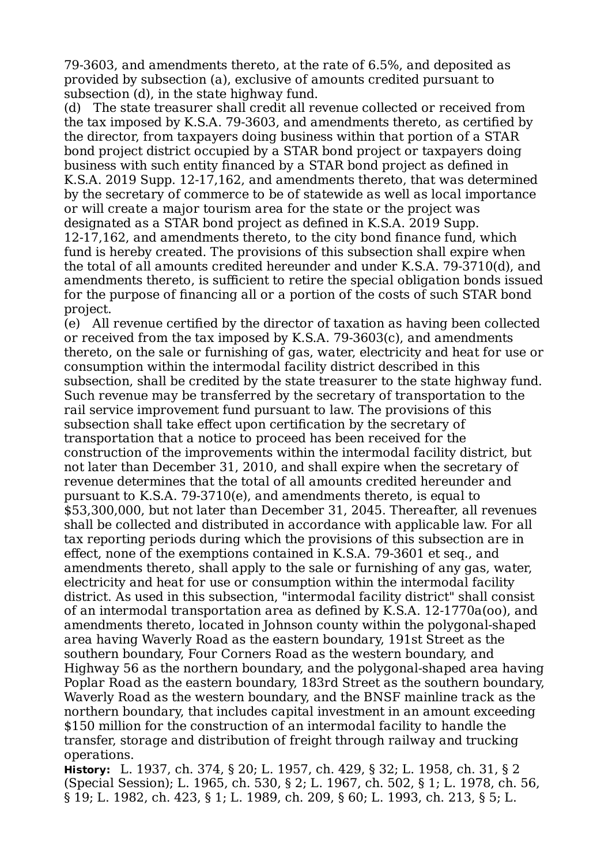79-3603, and amendments thereto, at the rate of 6.5%, and deposited as provided by subsection (a), exclusive of amounts credited pursuant to subsection (d), in the state highway fund.

(d) The state treasurer shall credit all revenue collected or received from the tax imposed by K.S.A. 79-3603, and amendments thereto, as certified by the director, from taxpayers doing business within that portion of a STAR bond project district occupied by a STAR bond project or taxpayers doing business with such entity financed by a STAR bond project as defined in K.S.A. 2019 Supp. 12-17,162, and amendments thereto, that was determined by the secretary of commerce to be of statewide as well as local importance or will create a major tourism area for the state or the project was designated as a STAR bond project as defined in K.S.A. 2019 Supp. 12-17,162, and amendments thereto, to the city bond finance fund, which fund is hereby created. The provisions of this subsection shall expire when the total of all amounts credited hereunder and under K.S.A. 79-3710(d), and amendments thereto, is sufficient to retire the special obligation bonds issued for the purpose of financing all or a portion of the costs of such STAR bond project.

(e) All revenue certified by the director of taxation as having been collected or received from the tax imposed by K.S.A. 79-3603(c), and amendments thereto, on the sale or furnishing of gas, water, electricity and heat for use or consumption within the intermodal facility district described in this subsection, shall be credited by the state treasurer to the state highway fund. Such revenue may be transferred by the secretary of transportation to the rail service improvement fund pursuant to law. The provisions of this subsection shall take effect upon certification by the secretary of transportation that a notice to proceed has been received for the construction of the improvements within the intermodal facility district, but not later than December 31, 2010, and shall expire when the secretary of revenue determines that the total of all amounts credited hereunder and pursuant to K.S.A. 79-3710(e), and amendments thereto, is equal to \$53,300,000, but not later than December 31, 2045. Thereafter, all revenues shall be collected and distributed in accordance with applicable law. For all tax reporting periods during which the provisions of this subsection are in effect, none of the exemptions contained in K.S.A. 79-3601 et seq., and amendments thereto, shall apply to the sale or furnishing of any gas, water, electricity and heat for use or consumption within the intermodal facility district. As used in this subsection, "intermodal facility district" shall consist of an intermodal transportation area as defined by K.S.A. 12-1770a(oo), and amendments thereto, located in Johnson county within the polygonal-shaped area having Waverly Road as the eastern boundary, 191st Street as the southern boundary, Four Corners Road as the western boundary, and Highway 56 as the northern boundary, and the polygonal-shaped area having Poplar Road as the eastern boundary, 183rd Street as the southern boundary, Waverly Road as the western boundary, and the BNSF mainline track as the northern boundary, that includes capital investment in an amount exceeding \$150 million for the construction of an intermodal facility to handle the transfer, storage and distribution of freight through railway and trucking operations.

**History:** L. 1937, ch. 374, § 20; L. 1957, ch. 429, § 32; L. 1958, ch. 31, § 2 (Special Session); L. 1965, ch. 530, § 2; L. 1967, ch. 502, § 1; L. 1978, ch. 56, § 19; L. 1982, ch. 423, § 1; L. 1989, ch. 209, § 60; L. 1993, ch. 213, § 5; L.